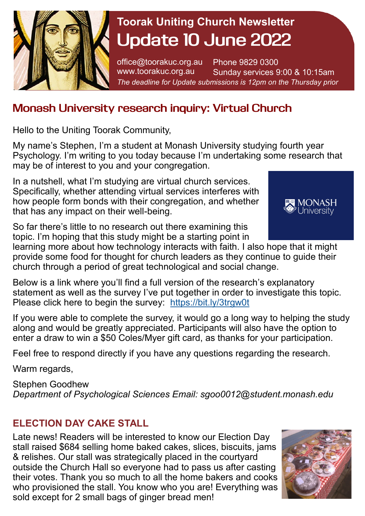

# **Toorak Uniting Church Newsletter Update 10 June 2022**

office@toorakuc.org.au www.toorakuc.org.au Phone 9829 0300 Sunday services 9:00 & 10:15am *The deadline for Update submissions is 12pm on the Thursday prior* 

## **Monash University research inquiry: Virtual Church**

Hello to the Uniting Toorak Community,

My name's Stephen, I'm a student at Monash University studying fourth year Psychology. I'm writing to you today because I'm undertaking some research that may be of interest to you and your congregation.

In a nutshell, what I'm studying are virtual church services. Specifically, whether attending virtual services interferes with how people form bonds with their congregation, and whether that has any impact on their well-being.

So far there's little to no research out there examining this topic. I'm hoping that this study might be a starting point in



learning more about how technology interacts with faith. I also hope that it might provide some food for thought for church leaders as they continue to guide their church through a period of great technological and social change.

Below is a link where you'll find a full version of the research's explanatory statement as well as the survey I've put together in order to investigate this topic. Please click here to begin the survey: <https://bit.ly/3trgw0t>

If you were able to complete the survey, it would go a long way to helping the study along and would be greatly appreciated. Participants will also have the option to enter a draw to win a \$50 Coles/Myer gift card, as thanks for your participation.

Feel free to respond directly if you have any questions regarding the research.

Warm regards,

Stephen Goodhew *Department of Psychological Sciences Email: sgoo0012@student.monash.edu* 

### **ELECTION DAY CAKE STALL**

Late news! Readers will be interested to know our Election Day stall raised \$684 selling home baked cakes, slices, biscuits, jams & relishes. Our stall was strategically placed in the courtyard outside the Church Hall so everyone had to pass us after casting their votes. Thank you so much to all the home bakers and cooks who provisioned the stall. You know who you are! Everything was sold except for 2 small bags of ginger bread men!